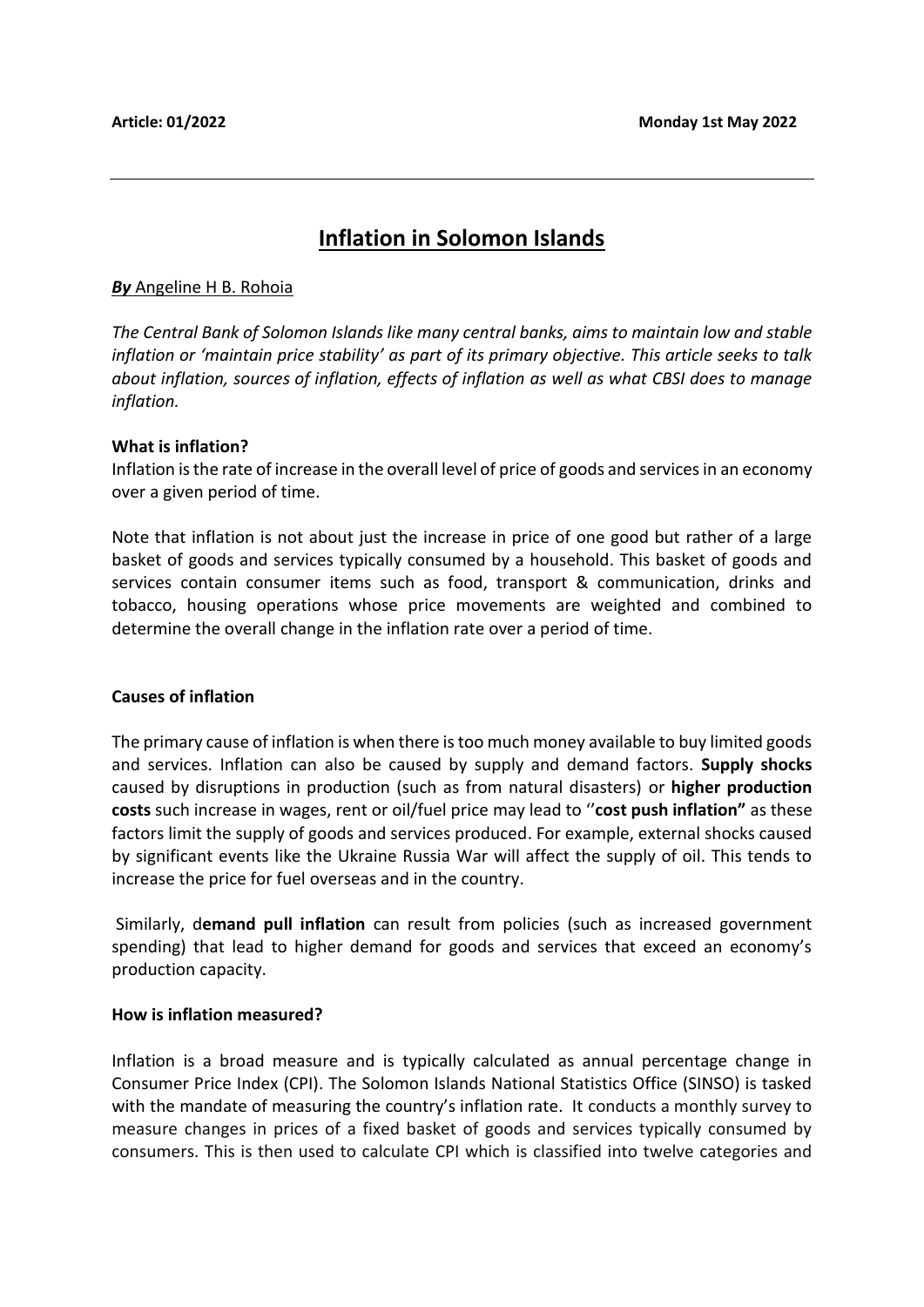# **Inflation in Solomon Islands**

#### *By* Angeline H B. Rohoia

*The Central Bank of Solomon Islands like many central banks, aims to maintain low and stable inflation or 'maintain price stability' as part of its primary objective. This article seeks to talk about inflation, sources of inflation, effects of inflation as well as what CBSI does to manage inflation.*

#### **What is inflation?**

Inflation is the rate of increase in the overall level of price of goods and services in an economy over a given period of time.

Note that inflation is not about just the increase in price of one good but rather of a large basket of goods and services typically consumed by a household. This basket of goods and services contain consumer items such as food, transport & communication, drinks and tobacco, housing operations whose price movements are weighted and combined to determine the overall change in the inflation rate over a period of time.

#### **Causes of inflation**

The primary cause of inflation is when there is too much money available to buy limited goods and services. Inflation can also be caused by supply and demand factors. **Supply shocks** caused by disruptions in production (such as from natural disasters) or **higher production costs** such increase in wages, rent or oil/fuel price may lead to ''**cost push inflation"** as these factors limit the supply of goods and services produced. For example, external shocks caused by significant events like the Ukraine Russia War will affect the supply of oil. This tends to increase the price for fuel overseas and in the country.

Similarly, d**emand pull inflation** can result from policies (such as increased government spending) that lead to higher demand for goods and services that exceed an economy's production capacity.

#### **How is inflation measured?**

Inflation is a broad measure and is typically calculated as annual percentage change in Consumer Price Index (CPI). The Solomon Islands National Statistics Office (SINSO) is tasked with the mandate of measuring the country's inflation rate. It conducts a monthly survey to measure changes in prices of a fixed basket of goods and services typically consumed by consumers. This is then used to calculate CPI which is classified into twelve categories and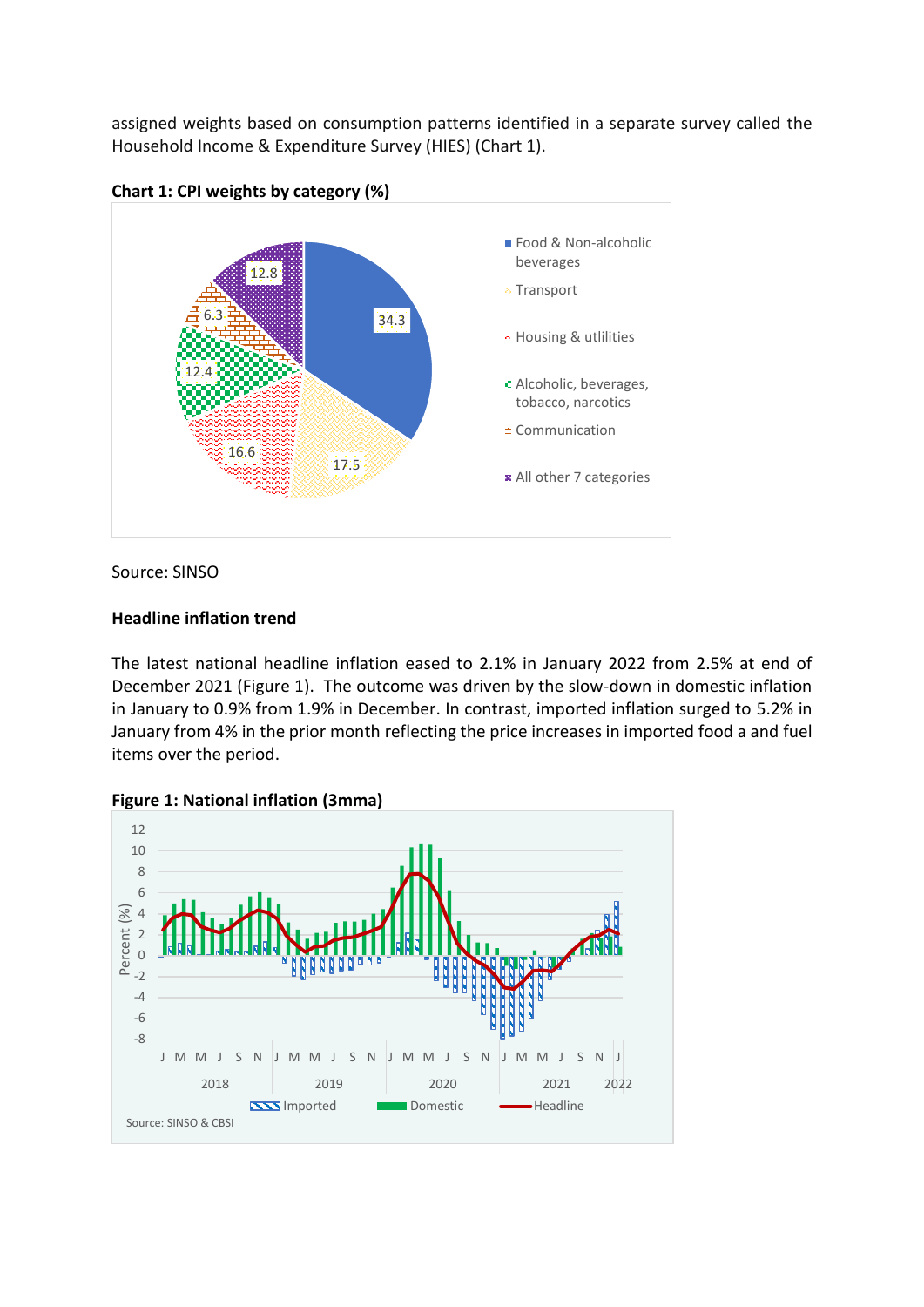assigned weights based on consumption patterns identified in a separate survey called the Household Income & Expenditure Survey (HIES) (Chart 1).



Source: SINSO

## **Headline inflation trend**

The latest national headline inflation eased to 2.1% in January 2022 from 2.5% at end of December 2021 (Figure 1). The outcome was driven by the slow-down in domestic inflation in January to 0.9% from 1.9% in December. In contrast, imported inflation surged to 5.2% in January from 4% in the prior month reflecting the price increases in imported food a and fuel items over the period.



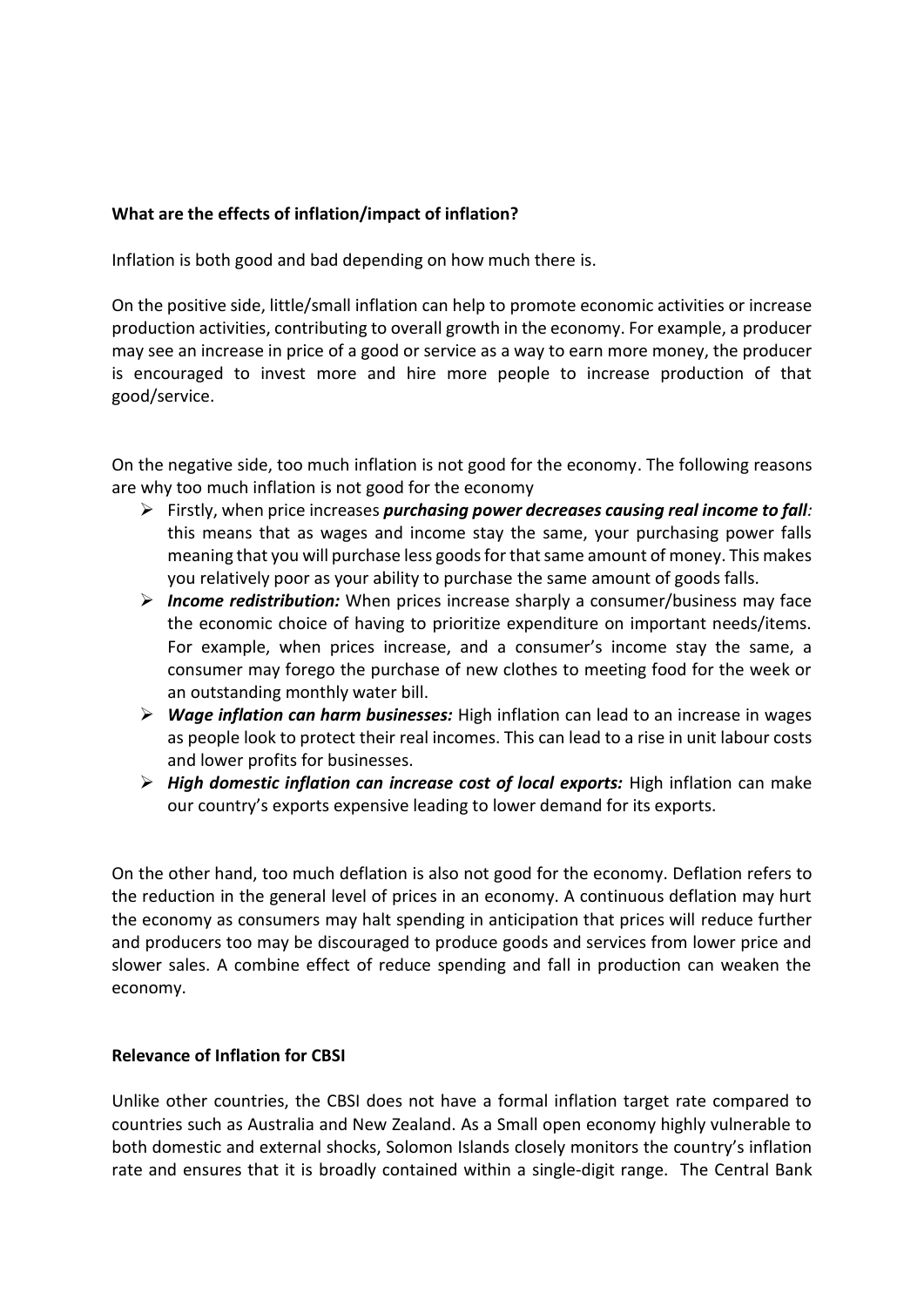## **What are the effects of inflation/impact of inflation?**

Inflation is both good and bad depending on how much there is.

On the positive side, little/small inflation can help to promote economic activities or increase production activities, contributing to overall growth in the economy. For example, a producer may see an increase in price of a good or service as a way to earn more money, the producer is encouraged to invest more and hire more people to increase production of that good/service.

On the negative side, too much inflation is not good for the economy. The following reasons are why too much inflation is not good for the economy

- ➢ Firstly, when price increases *purchasing power decreases causing real income to fall:*  this means that as wages and income stay the same, your purchasing power falls meaning that you will purchase less goods for that same amount of money. This makes you relatively poor as your ability to purchase the same amount of goods falls.
- ➢ *Income redistribution:* When prices increase sharply a consumer/business may face the economic choice of having to prioritize expenditure on important needs/items. For example, when prices increase, and a consumer's income stay the same, a consumer may forego the purchase of new clothes to meeting food for the week or an outstanding monthly water bill.
- ➢ *Wage inflation can harm businesses:* High inflation can lead to an increase in wages as people look to protect their real incomes. This can lead to a rise in unit labour costs and lower profits for businesses.
- ➢ *High domestic inflation can increase cost of local exports:* High inflation can make our country's exports expensive leading to lower demand for its exports.

On the other hand, too much deflation is also not good for the economy. Deflation refers to the reduction in the general level of prices in an economy. A continuous deflation may hurt the economy as consumers may halt spending in anticipation that prices will reduce further and producers too may be discouraged to produce goods and services from lower price and slower sales. A combine effect of reduce spending and fall in production can weaken the economy.

## **Relevance of Inflation for CBSI**

Unlike other countries, the CBSI does not have a formal inflation target rate compared to countries such as Australia and New Zealand. As a Small open economy highly vulnerable to both domestic and external shocks, Solomon Islands closely monitors the country's inflation rate and ensures that it is broadly contained within a single-digit range. The Central Bank